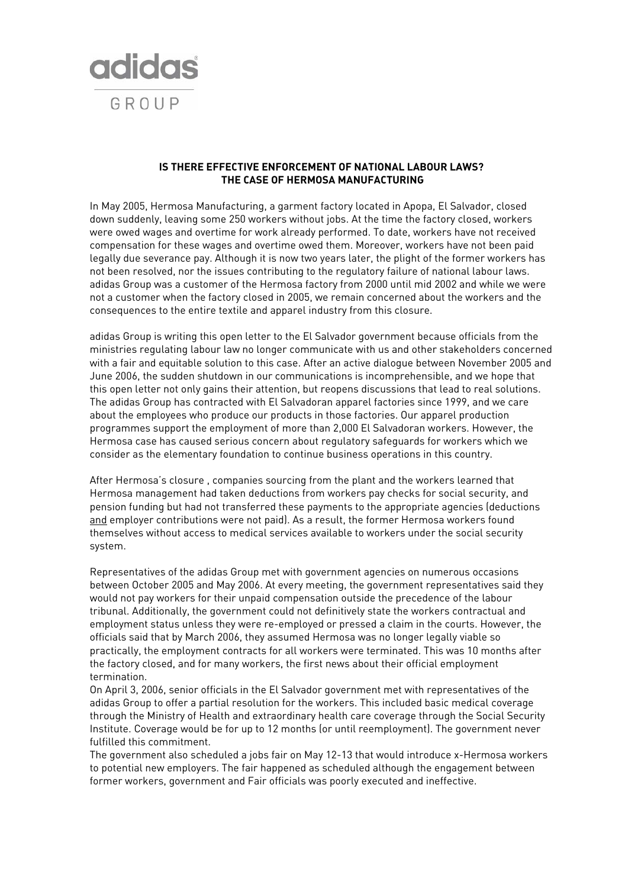

## **IS THERE EFFECTIVE ENFORCEMENT OF NATIONAL LABOUR LAWS? THE CASE OF HERMOSA MANUFACTURING**

In May 2005, Hermosa Manufacturing, a garment factory located in Apopa, El Salvador, closed down suddenly, leaving some 250 workers without jobs. At the time the factory closed, workers were owed wages and overtime for work already performed. To date, workers have not received compensation for these wages and overtime owed them. Moreover, workers have not been paid legally due severance pay. Although it is now two years later, the plight of the former workers has not been resolved, nor the issues contributing to the regulatory failure of national labour laws. adidas Group was a customer of the Hermosa factory from 2000 until mid 2002 and while we were not a customer when the factory closed in 2005, we remain concerned about the workers and the consequences to the entire textile and apparel industry from this closure.

adidas Group is writing this open letter to the El Salvador government because officials from the ministries regulating labour law no longer communicate with us and other stakeholders concerned with a fair and equitable solution to this case. After an active dialogue between November 2005 and June 2006, the sudden shutdown in our communications is incomprehensible, and we hope that this open letter not only gains their attention, but reopens discussions that lead to real solutions. The adidas Group has contracted with El Salvadoran apparel factories since 1999, and we care about the employees who produce our products in those factories. Our apparel production programmes support the employment of more than 2,000 El Salvadoran workers. However, the Hermosa case has caused serious concern about regulatory safeguards for workers which we consider as the elementary foundation to continue business operations in this country.

After Hermosa's closure , companies sourcing from the plant and the workers learned that Hermosa management had taken deductions from workers pay checks for social security, and pension funding but had not transferred these payments to the appropriate agencies (deductions and employer contributions were not paid). As a result, the former Hermosa workers found themselves without access to medical services available to workers under the social security system.

Representatives of the adidas Group met with government agencies on numerous occasions between October 2005 and May 2006. At every meeting, the government representatives said they would not pay workers for their unpaid compensation outside the precedence of the labour tribunal. Additionally, the government could not definitively state the workers contractual and employment status unless they were re-employed or pressed a claim in the courts. However, the officials said that by March 2006, they assumed Hermosa was no longer legally viable so practically, the employment contracts for all workers were terminated. This was 10 months after the factory closed, and for many workers, the first news about their official employment termination.

On April 3, 2006, senior officials in the El Salvador government met with representatives of the adidas Group to offer a partial resolution for the workers. This included basic medical coverage through the Ministry of Health and extraordinary health care coverage through the Social Security Institute. Coverage would be for up to 12 months (or until reemployment). The government never fulfilled this commitment.

The government also scheduled a jobs fair on May 12-13 that would introduce x-Hermosa workers to potential new employers. The fair happened as scheduled although the engagement between former workers, government and Fair officials was poorly executed and ineffective.